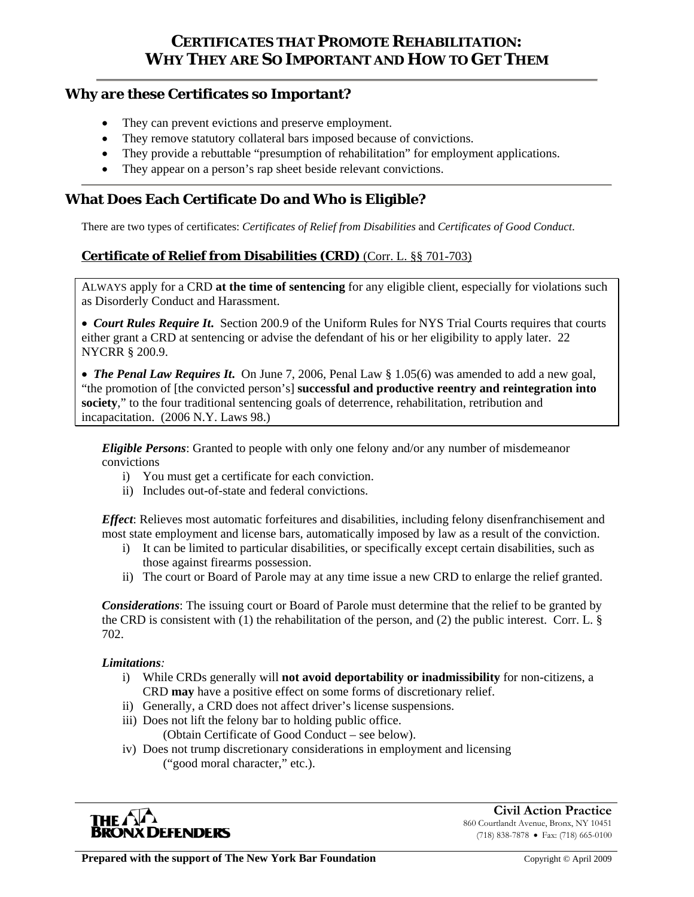# **CERTIFICATES THAT PROMOTE REHABILITATION: WHY THEY ARE SO IMPORTANT AND HOW TO GET THEM**

### **Why are these Certificates so Important?**

- They can prevent evictions and preserve employment.
- They remove statutory collateral bars imposed because of convictions.
- They provide a rebuttable "presumption of rehabilitation" for employment applications.
- They appear on a person's rap sheet beside relevant convictions.

## **What Does Each Certificate Do and Who is Eligible?**

There are two types of certificates: *Certificates of Relief from Disabilities* and *Certificates of Good Conduct*.

### **Certificate of Relief from Disabilities (CRD)** (Corr. L. §§ 701-703)

ALWAYS apply for a CRD **at the time of sentencing** for any eligible client, especially for violations such as Disorderly Conduct and Harassment.

• *Court Rules Require It***.** Section 200.9 of the Uniform Rules for NYS Trial Courts requires that courts either grant a CRD at sentencing or advise the defendant of his or her eligibility to apply later. 22 NYCRR § 200.9.

• *The Penal Law Requires It***.** On June 7, 2006, Penal Law § 1.05(6) was amended to add a new goal, "the promotion of [the convicted person's] **successful and productive reentry and reintegration into society**," to the four traditional sentencing goals of deterrence, rehabilitation, retribution and incapacitation. (2006 N.Y. Laws 98.)

*Eligible Persons*: Granted to people with only one felony and/or any number of misdemeanor convictions

- i) You must get a certificate for each conviction.
- ii) Includes out-of-state and federal convictions.

*Effect*: Relieves most automatic forfeitures and disabilities, including felony disenfranchisement and most state employment and license bars, automatically imposed by law as a result of the conviction.

- i) It can be limited to particular disabilities, or specifically except certain disabilities, such as those against firearms possession.
- ii) The court or Board of Parole may at any time issue a new CRD to enlarge the relief granted.

*Considerations*: The issuing court or Board of Parole must determine that the relief to be granted by the CRD is consistent with (1) the rehabilitation of the person, and (2) the public interest. Corr. L.  $\S$ 702.

#### *Limitations:*

- i) While CRDs generally will **not avoid deportability or inadmissibility** for non-citizens, a CRD **may** have a positive effect on some forms of discretionary relief.
- ii) Generally, a CRD does not affect driver's license suspensions.
- iii) Does not lift the felony bar to holding public office. (Obtain Certificate of Good Conduct – see below).
- iv) Does not trump discretionary considerations in employment and licensing ("good moral character," etc.).



**Civil Action Practice** 860 Courtlandt Avenue, Bronx, NY 10451 (718) 838-7878 • Fax: (718) 665-0100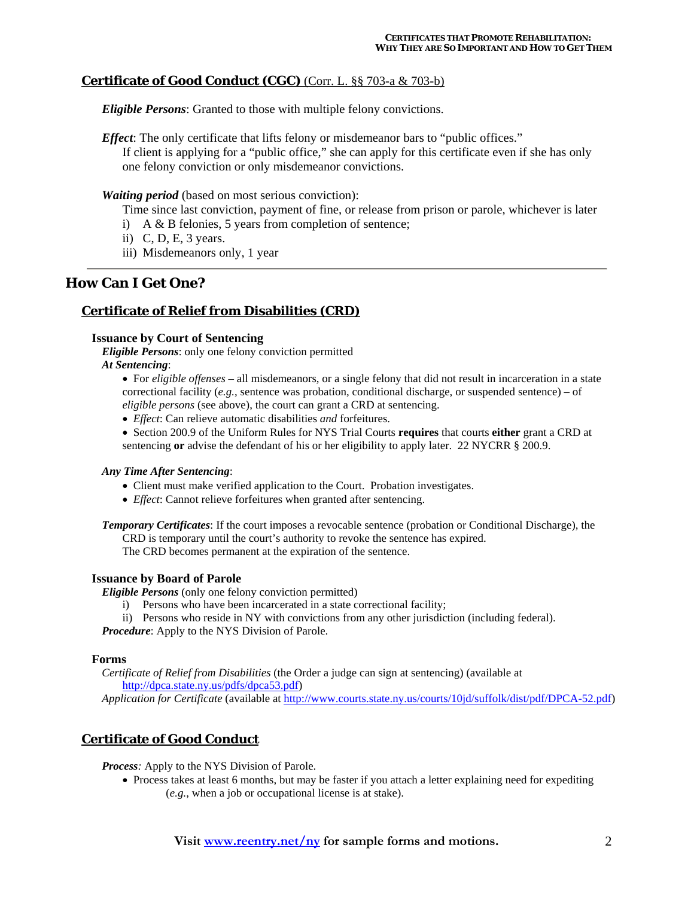### **Certificate of Good Conduct (CGC)** (Corr. L. §§ 703-a & 703-b)

*Eligible Persons*: Granted to those with multiple felony convictions.

*Effect*: The only certificate that lifts felony or misdemeanor bars to "public offices." If client is applying for a "public office," she can apply for this certificate even if she has only one felony conviction or only misdemeanor convictions.

*Waiting period* (based on most serious conviction):

Time since last conviction, payment of fine, or release from prison or parole, whichever is later

- i) A & B felonies, 5 years from completion of sentence;
- ii) C, D, E, 3 years.
- iii) Misdemeanors only, 1 year

### **How Can I Get One?**

### **Certificate of Relief from Disabilities (CRD)**

#### **Issuance by Court of Sentencing**

*Eligible Persons*: only one felony conviction permitted *At Sentencing*:

- For *eligible offenses* all misdemeanors, or a single felony that did not result in incarceration in a state correctional facility  $(e.g.,)$  sentence was probation, conditional discharge, or suspended sentence) – of *eligible persons* (see above), the court can grant a CRD at sentencing.
- *Effect*: Can relieve automatic disabilities *and* forfeitures.
- Section 200.9 of the Uniform Rules for NYS Trial Courts **requires** that courts **either** grant a CRD at sentencing **or** advise the defendant of his or her eligibility to apply later. 22 NYCRR § 200.9.

#### *Any Time After Sentencing*:

- Client must make verified application to the Court. Probation investigates.
- *Effect*: Cannot relieve forfeitures when granted after sentencing.

*Temporary Certificates*: If the court imposes a revocable sentence (probation or Conditional Discharge), the CRD is temporary until the court's authority to revoke the sentence has expired. The CRD becomes permanent at the expiration of the sentence.

#### **Issuance by Board of Parole**

*Eligible Persons* (only one felony conviction permitted)

- i) Persons who have been incarcerated in a state correctional facility;
- ii) Persons who reside in NY with convictions from any other jurisdiction (including federal).

*Procedure*: Apply to the NYS Division of Parole.

#### **Forms**

 *Certificate of Relief from Disabilities* (the Order a judge can sign at sentencing) (available at http://dpca.state.ny.us/pdfs/dpca53.pdf)

*Application for Certificate* (available at http://www.courts.state.ny.us/courts/10jd/suffolk/dist/pdf/DPCA-52.pdf)

### **Certificate of Good Conduct**

*Process:* Apply to the NYS Division of Parole.

• Process takes at least 6 months, but may be faster if you attach a letter explaining need for expediting (*e.g.*, when a job or occupational license is at stake).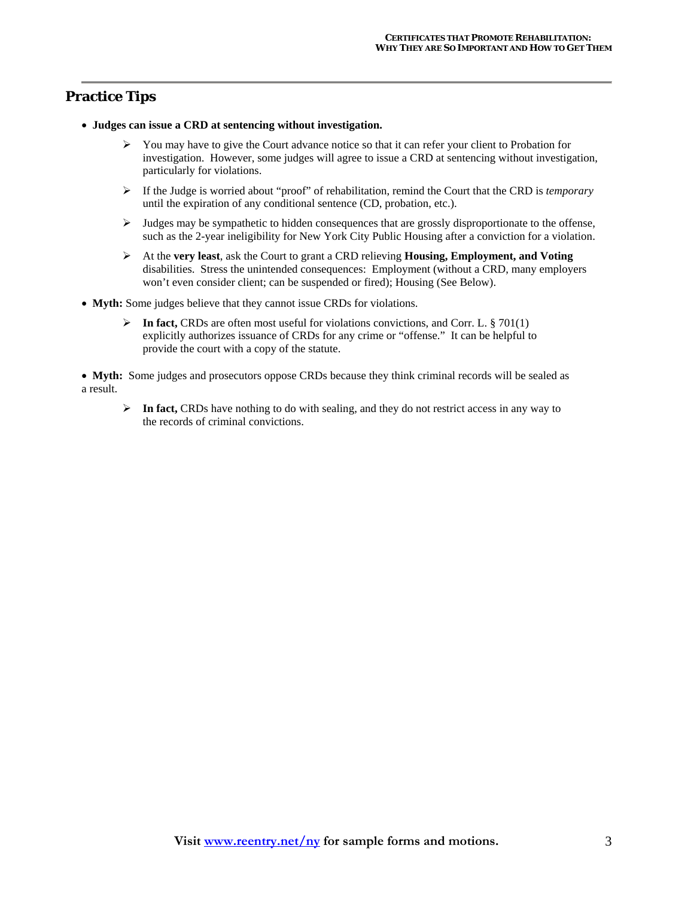## **Practice Tips**

- **Judges can issue a CRD at sentencing without investigation.**
	- $\triangleright$  You may have to give the Court advance notice so that it can refer your client to Probation for investigation. However, some judges will agree to issue a CRD at sentencing without investigation, particularly for violations.
	- ¾ If the Judge is worried about "proof" of rehabilitation, remind the Court that the CRD is *temporary* until the expiration of any conditional sentence (CD, probation, etc.).
	- $\triangleright$  Judges may be sympathetic to hidden consequences that are grossly disproportionate to the offense, such as the 2-year ineligibility for New York City Public Housing after a conviction for a violation.
	- ¾ At the **very least**, ask the Court to grant a CRD relieving **Housing, Employment, and Voting** disabilities. Stress the unintended consequences: Employment (without a CRD, many employers won't even consider client; can be suspended or fired); Housing (See Below).
- **Myth:** Some judges believe that they cannot issue CRDs for violations.
	- ¾ **In fact,** CRDs are often most useful for violations convictions, and Corr. L. § 701(1) explicitly authorizes issuance of CRDs for any crime or "offense." It can be helpful to provide the court with a copy of the statute.

• **Myth:** Some judges and prosecutors oppose CRDs because they think criminal records will be sealed as a result.

¾ **In fact,** CRDs have nothing to do with sealing, and they do not restrict access in any way to the records of criminal convictions.